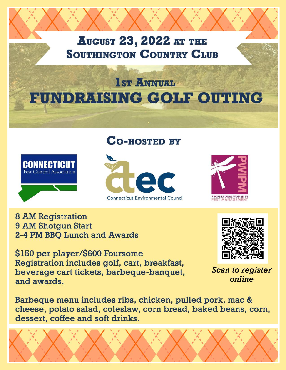### **AUGUST 23, 2022 AT THE SOUTHINGTON COUNTRY CLUB**

# **1st ANNUAL** FUNDRAISING GOLF OUTING

### **CO-HOSTED BY**







**8 AM Registration** 9 AM Shotgun Start 2-4 PM BBQ Lunch and Awards

\$150 per player/\$600 Foursome Registration includes golf, cart, breakfast, beverage cart tickets, barbeque-banquet, and awards.

Barbeque menu includes ribs, chicken, pulled pork, mac & cheese, potato salad, coleslaw, corn bread, baked beans, corn, dessert, coffee and soft drinks.





**Scan to register** online